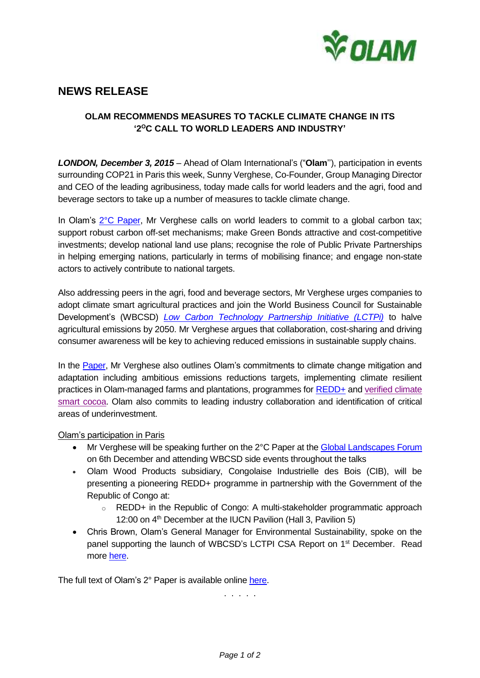

## **NEWS RELEASE**

## **OLAM RECOMMENDS MEASURES TO TACKLE CLIMATE CHANGE IN ITS**  '2°C CALL TO WORLD LEADERS AND INDUSTRY'

*LONDON, December 3, 2015* – Ahead of Olam International's ("**Olam**''), participation in events surrounding COP21 in Paris this week, Sunny Verghese, Co-Founder, Group Managing Director and CEO of the leading agribusiness, today made calls for world leaders and the agri, food and beverage sectors to take up a number of measures to tackle climate change.

In Olam's <sup>2°</sup>C [Paper,](http://49tmko49h46b4e0czy3rlqaye1b.wpengine.netdna-cdn.com/wp-content/uploads/2015/12/Olams-2-Degree-C-Call-to-World-Leaders-and-Industry.pdf) Mr Verghese calls on world leaders to commit to a global carbon tax; support robust carbon off-set mechanisms; make Green Bonds attractive and cost-competitive investments; develop national land use plans; recognise the role of Public Private Partnerships in helping emerging nations, particularly in terms of mobilising finance; and engage non-state actors to actively contribute to national targets.

Also addressing peers in the agri, food and beverage sectors, Mr Verghese urges companies to adopt climate smart agricultural practices and join the World Business Council for Sustainable Development's (WBCSD) *[Low Carbon Technology Partnership Initiative \(LCTPi\)](http://www.wbcsd.org/agri-business-leaders-get-climate-smart-at-cop21.aspx)* to halve agricultural emissions by 2050. Mr Verghese argues that collaboration, cost-sharing and driving consumer awareness will be key to achieving reduced emissions in sustainable supply chains.

In the [Paper,](http://49tmko49h46b4e0czy3rlqaye1b.wpengine.netdna-cdn.com/wp-content/uploads/2015/12/Olams-2-Degree-C-Call-to-World-Leaders-and-Industry.pdf) Mr Verghese also outlines Olam's commitments to climate change mitigation and adaptation including ambitious emissions reductions targets, implementing climate resilient practices in Olam-managed farms and plantations, programmes for [REDD+](http://olamgroup.com/products-services/industrial-raw-materials/wood/sustainability/) and [verified climate](http://olamgroup.com/blog/supporting-cocoa-smallholders-transcend-boundaries-climate-change-2/)  [smart cocoa.](http://olamgroup.com/blog/supporting-cocoa-smallholders-transcend-boundaries-climate-change-2/) Olam also commits to leading industry collaboration and identification of critical areas of underinvestment.

## Olam's participation in Paris

- Mr Verghese will be speaking further on the 2°C Paper at the [Global Landscapes](http://www.landscapes.org/glf-2015/) Forum on 6th December and attending WBCSD side events throughout the talks
- Olam Wood Products subsidiary, Congolaise Industrielle des Bois (CIB), will be presenting a pioneering REDD+ programme in partnership with the Government of the Republic of Congo at:
	- o REDD+ in the Republic of Congo: A multi-stakeholder programmatic approach 12:00 on 4<sup>th</sup> December at the IUCN Pavilion (Hall 3, Pavilion 5)
- Chris Brown, Olam's General Manager for Environmental Sustainability, spoke on the panel supporting the launch of WBCSD's LCTPI CSA Report on 1<sup>st</sup> December. Read more [here.](http://www.wbcsd.org/agri-business-leaders-get-climate-smart-at-cop21.aspx)

The full text of Olam's 2° Paper is available online [here.](http://49tmko49h46b4e0czy3rlqaye1b.wpengine.netdna-cdn.com/wp-content/uploads/2015/12/Olams-2-Degree-C-Call-to-World-Leaders-and-Industry.pdf)

. . . . .